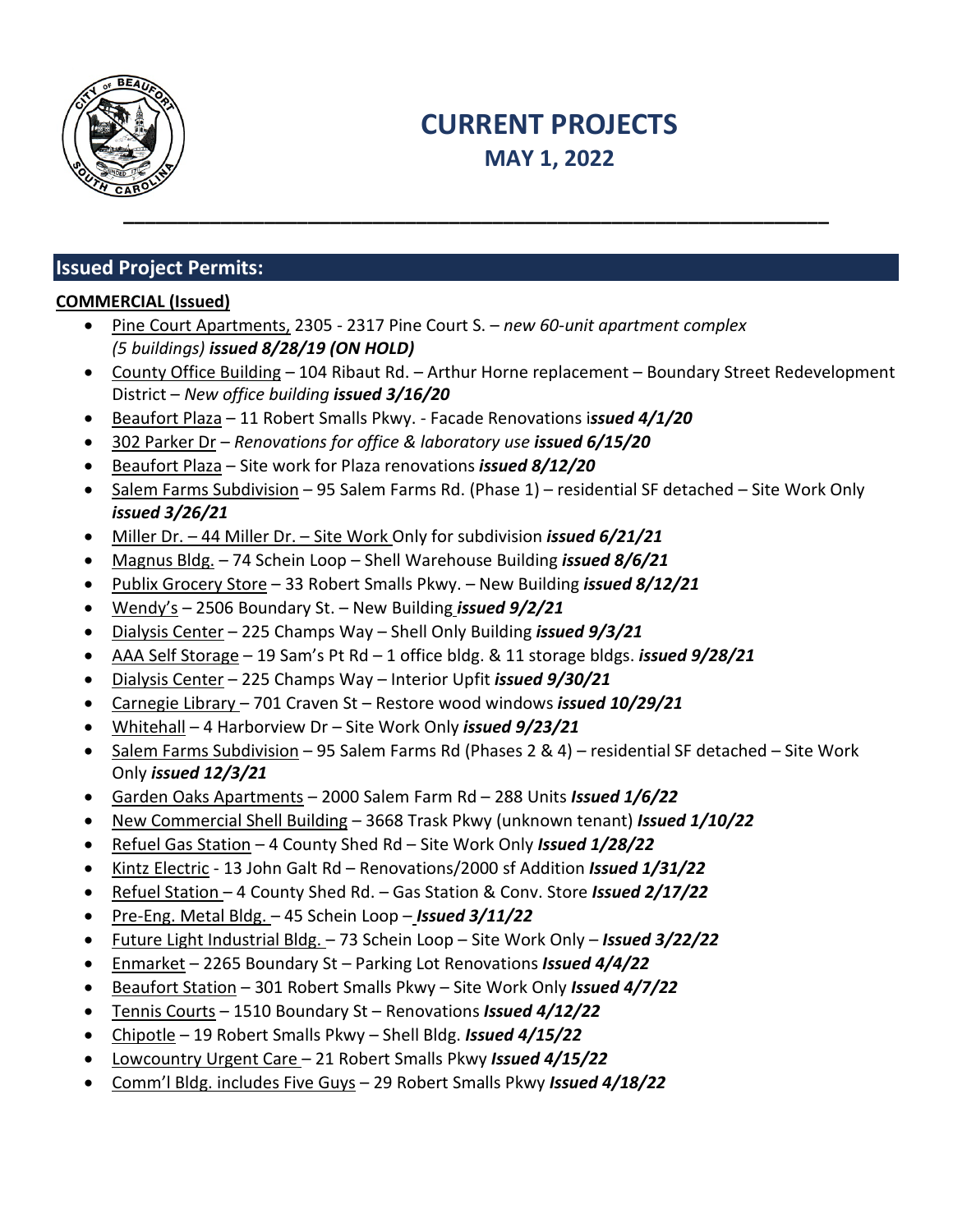

# **CURRENT PROJECTS MAY 1, 2022**

# **Issued Project Permits:**

# **COMMERCIAL (Issued)**

- Pine Court Apartments, 2305 2317 Pine Court S. *new 60-unit apartment complex (5 buildings) issued 8/28/19 (ON HOLD)*
- County Office Building 104 Ribaut Rd. Arthur Horne replacement Boundary Street Redevelopment District – *New office building issued 3/16/20*
- Beaufort Plaza 11 Robert Smalls Pkwy. Facade Renovations i*ssued 4/1/20*
- 302 Parker Dr *Renovations for office & laboratory use issued 6/15/20*
- Beaufort Plaza Site work for Plaza renovations *issued 8/12/20*
- Salem Farms Subdivision 95 Salem Farms Rd. (Phase 1) residential SF detached Site Work Only *issued 3/26/21*
- Miller Dr. 44 Miller Dr. Site Work Only for subdivision *issued 6/21/21*
- Magnus Bldg. 74 Schein Loop Shell Warehouse Building *issued 8/6/21*
- Publix Grocery Store 33 Robert Smalls Pkwy. New Building *issued 8/12/21*
- Wendy's 2506 Boundary St. New Building *issued 9/2/21*
- Dialysis Center 225 Champs Way Shell Only Building *issued 9/3/21*
- AAA Self Storage 19 Sam's Pt Rd 1 office bldg. & 11 storage bldgs. *issued 9/28/21*
- Dialysis Center 225 Champs Way Interior Upfit *issued 9/30/21*
- Carnegie Library 701 Craven St Restore wood windows *issued 10/29/21*
- Whitehall 4 Harborview Dr Site Work Only *issued 9/23/21*
- Salem Farms Subdivision 95 Salem Farms Rd (Phases 2 & 4) residential SF detached Site Work Only *issued 12/3/21*
- Garden Oaks Apartments 2000 Salem Farm Rd 288 Units *Issued 1/6/22*
- New Commercial Shell Building 3668 Trask Pkwy (unknown tenant) *Issued 1/10/22*
- Refuel Gas Station 4 County Shed Rd Site Work Only *Issued 1/28/22*
- Kintz Electric 13 John Galt Rd Renovations/2000 sf Addition *Issued 1/31/22*
- Refuel Station 4 County Shed Rd. Gas Station & Conv. Store *Issued 2/17/22*
- Pre-Eng. Metal Bldg. 45 Schein Loop *Issued 3/11/22*
- Future Light Industrial Bldg. 73 Schein Loop Site Work Only *Issued 3/22/22*
- Enmarket 2265 Boundary St Parking Lot Renovations *Issued 4/4/22*
- Beaufort Station 301 Robert Smalls Pkwy Site Work Only *Issued 4/7/22*
- Tennis Courts 1510 Boundary St Renovations *Issued 4/12/22*
- Chipotle 19 Robert Smalls Pkwy Shell Bldg. *Issued 4/15/22*
- Lowcountry Urgent Care 21 Robert Smalls Pkwy *Issued 4/15/22*
- Comm'l Bldg. includes Five Guys 29 Robert Smalls Pkwy *Issued 4/18/22*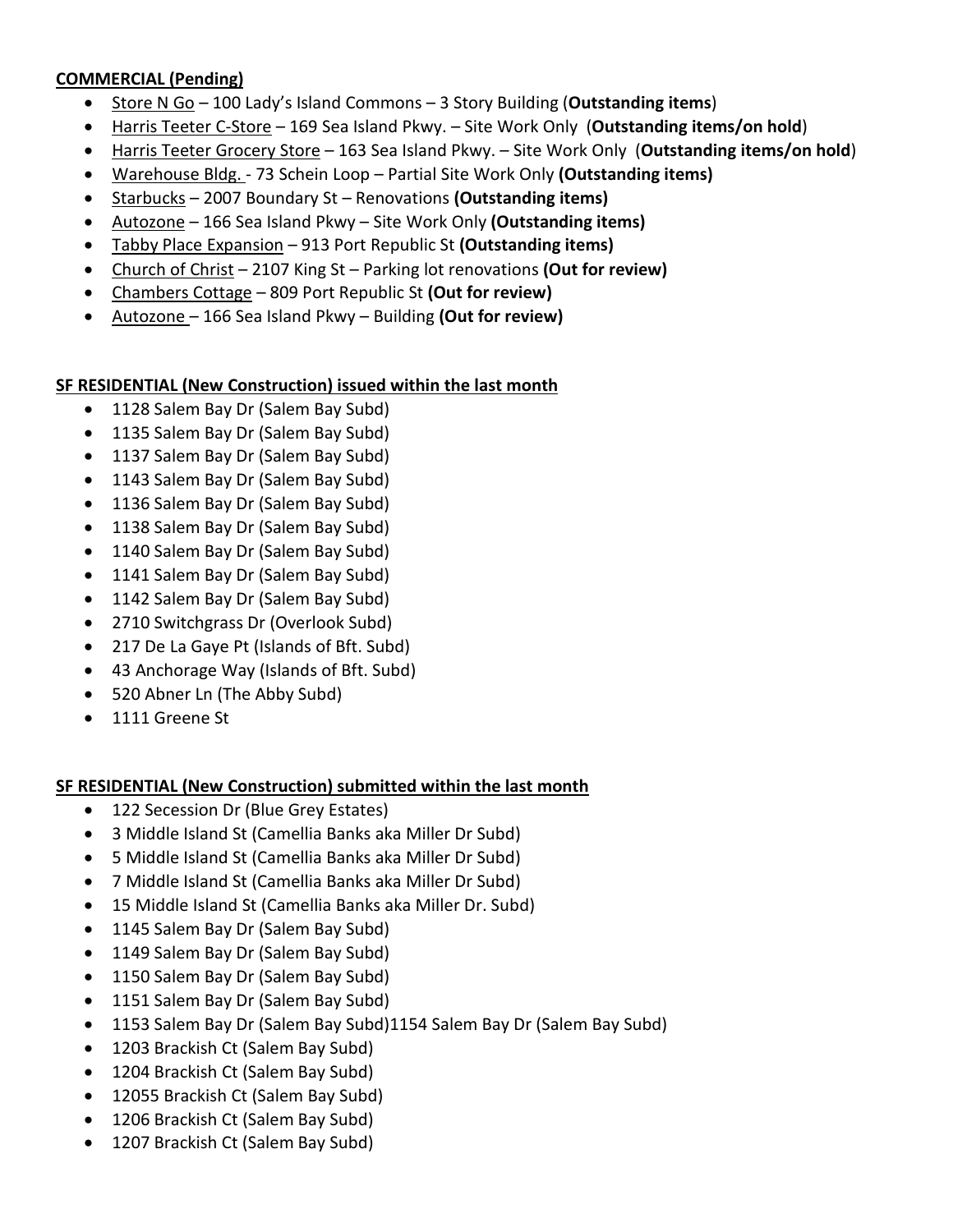### **COMMERCIAL (Pending)**

- Store N Go 100 Lady's Island Commons 3 Story Building (**Outstanding items**)
- Harris Teeter C-Store 169 Sea Island Pkwy. Site Work Only (**Outstanding items/on hold**)
- Harris Teeter Grocery Store 163 Sea Island Pkwy. Site Work Only (**Outstanding items/on hold**)
- Warehouse Bldg. 73 Schein Loop Partial Site Work Only **(Outstanding items)**
- Starbucks 2007 Boundary St Renovations **(Outstanding items)**
- Autozone 166 Sea Island Pkwy Site Work Only **(Outstanding items)**
- Tabby Place Expansion 913 Port Republic St **(Outstanding items)**
- Church of Christ 2107 King St Parking lot renovations **(Out for review)**
- Chambers Cottage 809 Port Republic St **(Out for review)**
- Autozone 166 Sea Island Pkwy Building **(Out for review)**

### **SF RESIDENTIAL (New Construction) issued within the last month**

- 1128 Salem Bay Dr (Salem Bay Subd)
- 1135 Salem Bay Dr (Salem Bay Subd)
- 1137 Salem Bay Dr (Salem Bay Subd)
- 1143 Salem Bay Dr (Salem Bay Subd)
- 1136 Salem Bay Dr (Salem Bay Subd)
- 1138 Salem Bay Dr (Salem Bay Subd)
- 1140 Salem Bay Dr (Salem Bay Subd)
- 1141 Salem Bay Dr (Salem Bay Subd)
- 1142 Salem Bay Dr (Salem Bay Subd)
- 2710 Switchgrass Dr (Overlook Subd)
- 217 De La Gaye Pt (Islands of Bft. Subd)
- 43 Anchorage Way (Islands of Bft. Subd)
- 520 Abner Ln (The Abby Subd)
- 1111 Greene St

### **SF RESIDENTIAL (New Construction) submitted within the last month**

- 122 Secession Dr (Blue Grey Estates)
- 3 Middle Island St (Camellia Banks aka Miller Dr Subd)
- 5 Middle Island St (Camellia Banks aka Miller Dr Subd)
- 7 Middle Island St (Camellia Banks aka Miller Dr Subd)
- 15 Middle Island St (Camellia Banks aka Miller Dr. Subd)
- 1145 Salem Bay Dr (Salem Bay Subd)
- 1149 Salem Bay Dr (Salem Bay Subd)
- 1150 Salem Bay Dr (Salem Bay Subd)
- 1151 Salem Bay Dr (Salem Bay Subd)
- 1153 Salem Bay Dr (Salem Bay Subd)1154 Salem Bay Dr (Salem Bay Subd)
- 1203 Brackish Ct (Salem Bay Subd)
- 1204 Brackish Ct (Salem Bay Subd)
- 12055 Brackish Ct (Salem Bay Subd)
- 1206 Brackish Ct (Salem Bay Subd)
- 1207 Brackish Ct (Salem Bay Subd)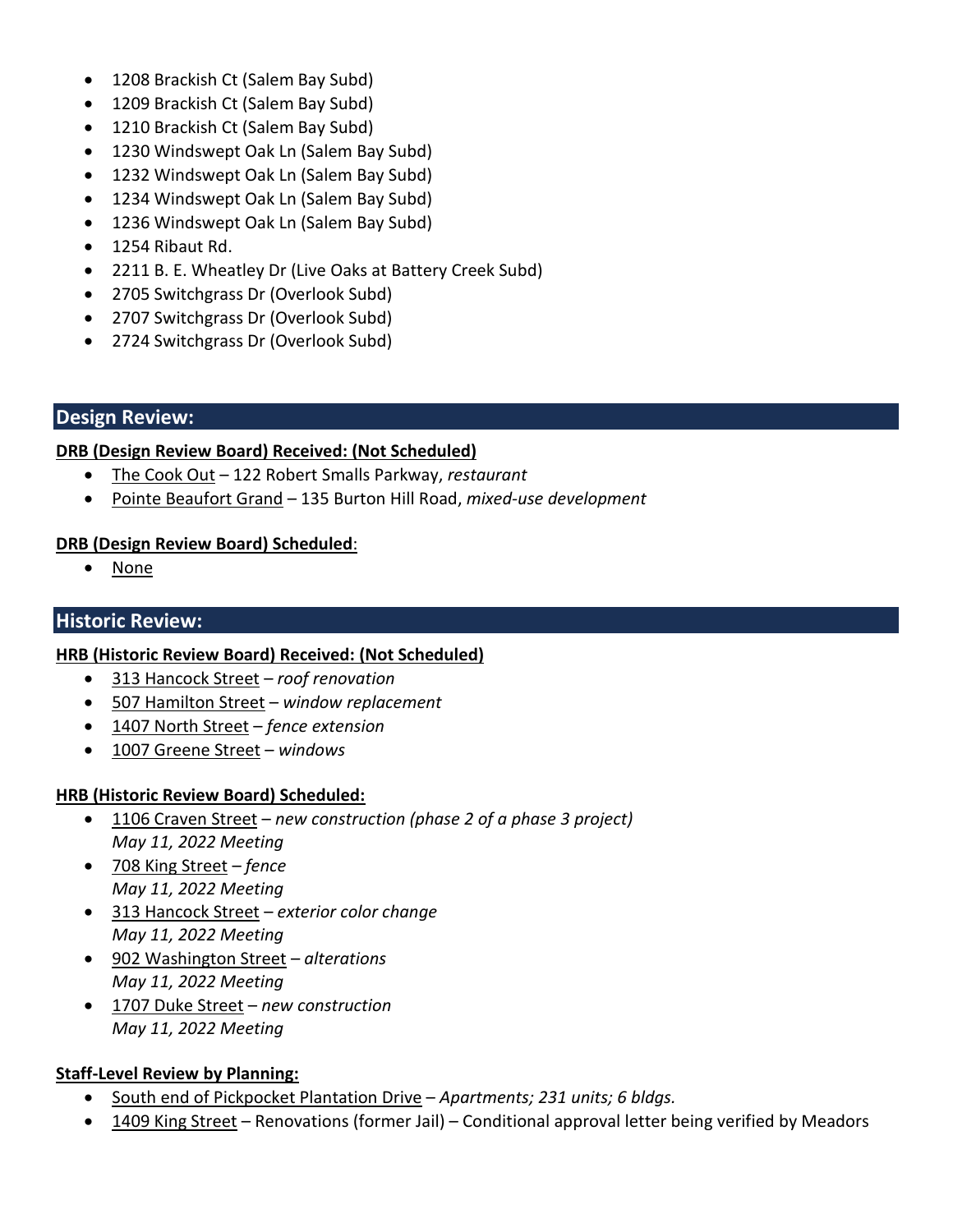- 1208 Brackish Ct (Salem Bay Subd)
- 1209 Brackish Ct (Salem Bay Subd)
- 1210 Brackish Ct (Salem Bay Subd)
- 1230 Windswept Oak Ln (Salem Bay Subd)
- 1232 Windswept Oak Ln (Salem Bay Subd)
- 1234 Windswept Oak Ln (Salem Bay Subd)
- 1236 Windswept Oak Ln (Salem Bay Subd)
- 1254 Ribaut Rd.
- 2211 B. E. Wheatley Dr (Live Oaks at Battery Creek Subd)
- 2705 Switchgrass Dr (Overlook Subd)
- 2707 Switchgrass Dr (Overlook Subd)
- 2724 Switchgrass Dr (Overlook Subd)

### **Design Review:**

### **DRB (Design Review Board) Received: (Not Scheduled)**

- The Cook Out 122 Robert Smalls Parkway, *restaurant*
- Pointe Beaufort Grand 135 Burton Hill Road, *mixed-use development*

### **DRB (Design Review Board) Scheduled**:

• None

# **Historic Review:**

### **HRB (Historic Review Board) Received: (Not Scheduled)**

- 313 Hancock Street *roof renovation*
- 507 Hamilton Street *window replacement*
- 1407 North Street *fence extension*
- 1007 Greene Street *windows*

### **HRB (Historic Review Board) Scheduled:**

- 1106 Craven Street *new construction (phase 2 of a phase 3 project) May 11, 2022 Meeting*
- 708 King Street *fence May 11, 2022 Meeting*
- 313 Hancock Street *exterior color change May 11, 2022 Meeting*
- 902 Washington Street *alterations May 11, 2022 Meeting*
- 1707 Duke Street *new construction May 11, 2022 Meeting*

# **Staff-Level Review by Planning:**

- South end of Pickpocket Plantation Drive *Apartments; 231 units; 6 bldgs.*
- 1409 King Street Renovations (former Jail) Conditional approval letter being verified by Meadors